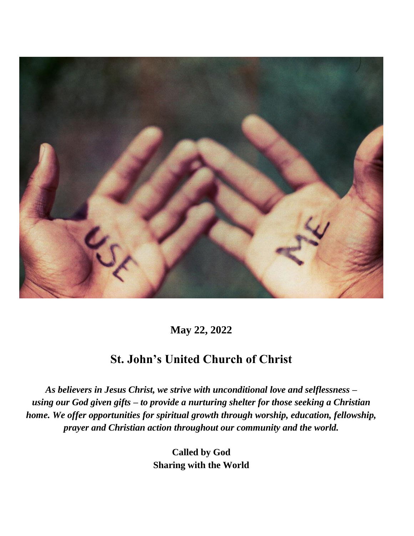

**May 22, 2022**

#### **St. John's United Church of Christ**

*As believers in Jesus Christ, we strive with unconditional love and selflessness – using our God given gifts – to provide a nurturing shelter for those seeking a Christian home. We offer opportunities for spiritual growth through worship, education, fellowship, prayer and Christian action throughout our community and the world.*

> **Called by God Sharing with the World**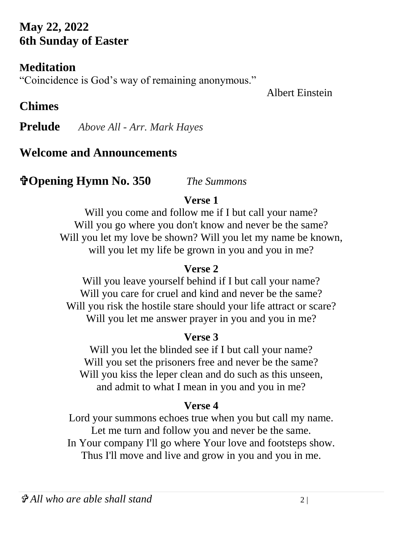### **May 22, 2022 6th Sunday of Easter**

#### **Meditation**

"Coincidence is God's way of remaining anonymous."

#### Albert Einstein

# **Chimes**

**Prelude** *Above All - Arr. Mark Hayes*

#### **Welcome and Announcements**

### **Opening Hymn No. 350** *The Summons*

#### **Verse 1**

Will you come and follow me if I but call your name? Will you go where you don't know and never be the same? Will you let my love be shown? Will you let my name be known, will you let my life be grown in you and you in me?

#### **Verse 2**

Will you leave yourself behind if I but call your name? Will you care for cruel and kind and never be the same? Will you risk the hostile stare should your life attract or scare? Will you let me answer prayer in you and you in me?

#### **Verse 3**

Will you let the blinded see if I but call your name? Will you set the prisoners free and never be the same? Will you kiss the leper clean and do such as this unseen, and admit to what I mean in you and you in me?

#### **Verse 4**

Lord your summons echoes true when you but call my name. Let me turn and follow you and never be the same. In Your company I'll go where Your love and footsteps show. Thus I'll move and live and grow in you and you in me.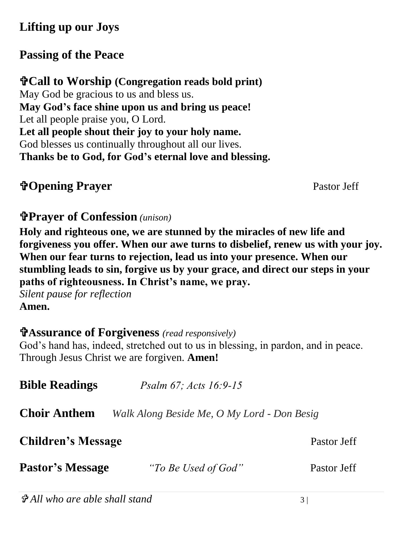## **Lifting up our Joys**

# **Passing of the Peace**

**Call to Worship (Congregation reads bold print)** May God be gracious to us and bless us. **May God's face shine upon us and bring us peace!** Let all people praise you, O Lord. **Let all people shout their joy to your holy name.** God blesses us continually throughout all our lives. **Thanks be to God, for God's eternal love and blessing.**

# **Traver** Pastor Jeff

#### **Prayer of Confession** *(unison)*

**Holy and righteous one, we are stunned by the miracles of new life and forgiveness you offer. When our awe turns to disbelief, renew us with your joy. When our fear turns to rejection, lead us into your presence. When our stumbling leads to sin, forgive us by your grace, and direct our steps in your paths of righteousness. In Christ's name, we pray.** 

*Silent pause for reflection*  **Amen.**

#### **Assurance of Forgiveness** *(read responsively)*

God's hand has, indeed, stretched out to us in blessing, in pardon, and in peace. Through Jesus Christ we are forgiven. **Amen!**

| <b>Bible Readings</b>     | <i>Psalm 67; Acts 16:9-15</i>               |             |
|---------------------------|---------------------------------------------|-------------|
| <b>Choir Anthem</b>       | Walk Along Beside Me, O My Lord - Don Besig |             |
| <b>Children's Message</b> |                                             | Pastor Jeff |
| <b>Pastor's Message</b>   | "To Be Used of God"                         | Pastor Jeff |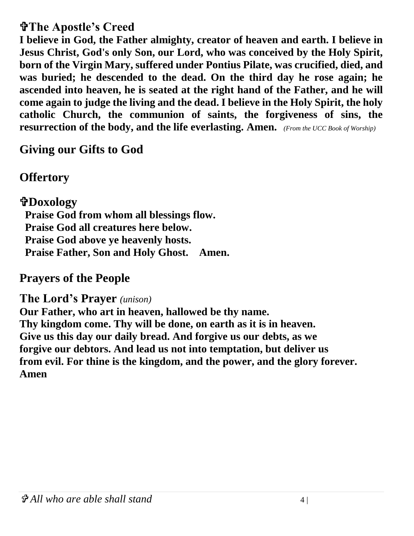#### **The Apostle's Creed**

**I believe in God, the Father almighty, creator of heaven and earth. I believe in Jesus Christ, God's only Son, our Lord, who was conceived by the Holy Spirit, born of the Virgin Mary, suffered under Pontius Pilate, was crucified, died, and was buried; he descended to the dead. On the third day he rose again; he ascended into heaven, he is seated at the right hand of the Father, and he will come again to judge the living and the dead. I believe in the Holy Spirit, the holy catholic Church, the communion of saints, the forgiveness of sins, the resurrection of the body, and the life everlasting. Amen.** *(From the UCC Book of Worship)*

**Giving our Gifts to God**

**Offertory** 

**Doxology Praise God from whom all blessings flow. Praise God all creatures here below. Praise God above ye heavenly hosts. Praise Father, Son and Holy Ghost. Amen.** 

#### **Prayers of the People**

#### **The Lord's Prayer** *(unison)*

**Our Father, who art in heaven, hallowed be thy name. Thy kingdom come. Thy will be done, on earth as it is in heaven. Give us this day our daily bread. And forgive us our debts, as we forgive our debtors. And lead us not into temptation, but deliver us from evil. For thine is the kingdom, and the power, and the glory forever. Amen**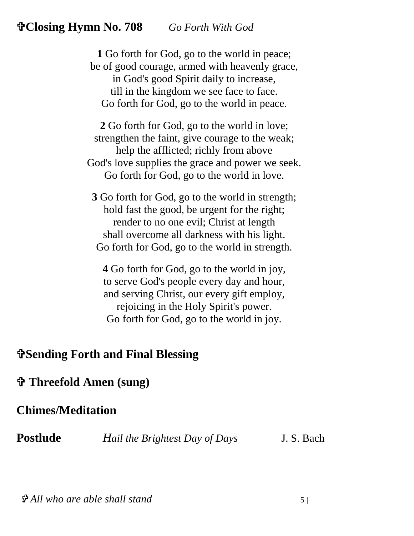#### **Closing Hymn No. 708** *Go Forth With God*

**1** Go forth for God, go to the world in peace; be of good courage, armed with heavenly grace, in God's good Spirit daily to increase, till in the kingdom we see face to face. Go forth for God, go to the world in peace.

**2** Go forth for God, go to the world in love; strengthen the faint, give courage to the weak; help the afflicted; richly from above God's love supplies the grace and power we seek. Go forth for God, go to the world in love.

**3** Go forth for God, go to the world in strength; hold fast the good, be urgent for the right; render to no one evil; Christ at length shall overcome all darkness with his light. Go forth for God, go to the world in strength.

**4** Go forth for God, go to the world in joy, to serve God's people every day and hour, and serving Christ, our every gift employ, rejoicing in the Holy Spirit's power. Go forth for God, go to the world in joy.

#### **Sending Forth and Final Blessing**

#### **Threefold Amen (sung)**

#### **Chimes/Meditation**

**Postlude** *Hail the Brightest Day of Days* J. S. Bach